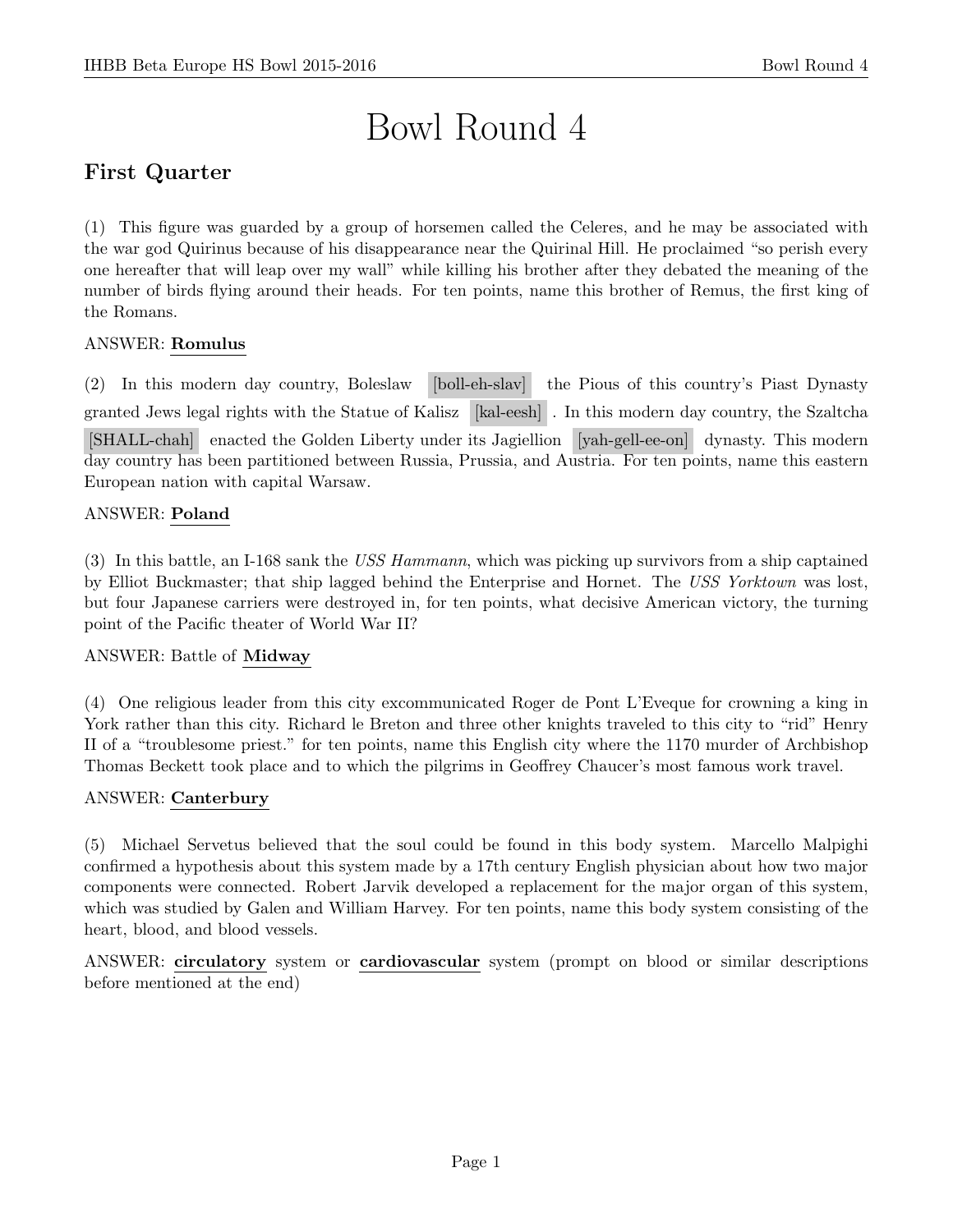# Bowl Round 4

# First Quarter

(1) This figure was guarded by a group of horsemen called the Celeres, and he may be associated with the war god Quirinus because of his disappearance near the Quirinal Hill. He proclaimed "so perish every one hereafter that will leap over my wall" while killing his brother after they debated the meaning of the number of birds flying around their heads. For ten points, name this brother of Remus, the first king of the Romans.

# ANSWER: Romulus

(2) In this modern day country, Boleslaw [boll-eh-slav] the Pious of this country's Piast Dynasty granted Jews legal rights with the Statue of Kalisz [kal-eesh] . In this modern day country, the Szaltcha [SHALL-chah] enacted the Golden Liberty under its Jagiellion [yah-gell-ee-on] dynasty. This modern day country has been partitioned between Russia, Prussia, and Austria. For ten points, name this eastern European nation with capital Warsaw.

# ANSWER: Poland

(3) In this battle, an I-168 sank the USS Hammann, which was picking up survivors from a ship captained by Elliot Buckmaster; that ship lagged behind the Enterprise and Hornet. The USS Yorktown was lost, but four Japanese carriers were destroyed in, for ten points, what decisive American victory, the turning point of the Pacific theater of World War II?

#### ANSWER: Battle of Midway

(4) One religious leader from this city excommunicated Roger de Pont L'Eveque for crowning a king in York rather than this city. Richard le Breton and three other knights traveled to this city to "rid" Henry II of a "troublesome priest." for ten points, name this English city where the 1170 murder of Archbishop Thomas Beckett took place and to which the pilgrims in Geoffrey Chaucer's most famous work travel.

#### ANSWER: Canterbury

(5) Michael Servetus believed that the soul could be found in this body system. Marcello Malpighi confirmed a hypothesis about this system made by a 17th century English physician about how two major components were connected. Robert Jarvik developed a replacement for the major organ of this system, which was studied by Galen and William Harvey. For ten points, name this body system consisting of the heart, blood, and blood vessels.

ANSWER: circulatory system or cardiovascular system (prompt on blood or similar descriptions before mentioned at the end)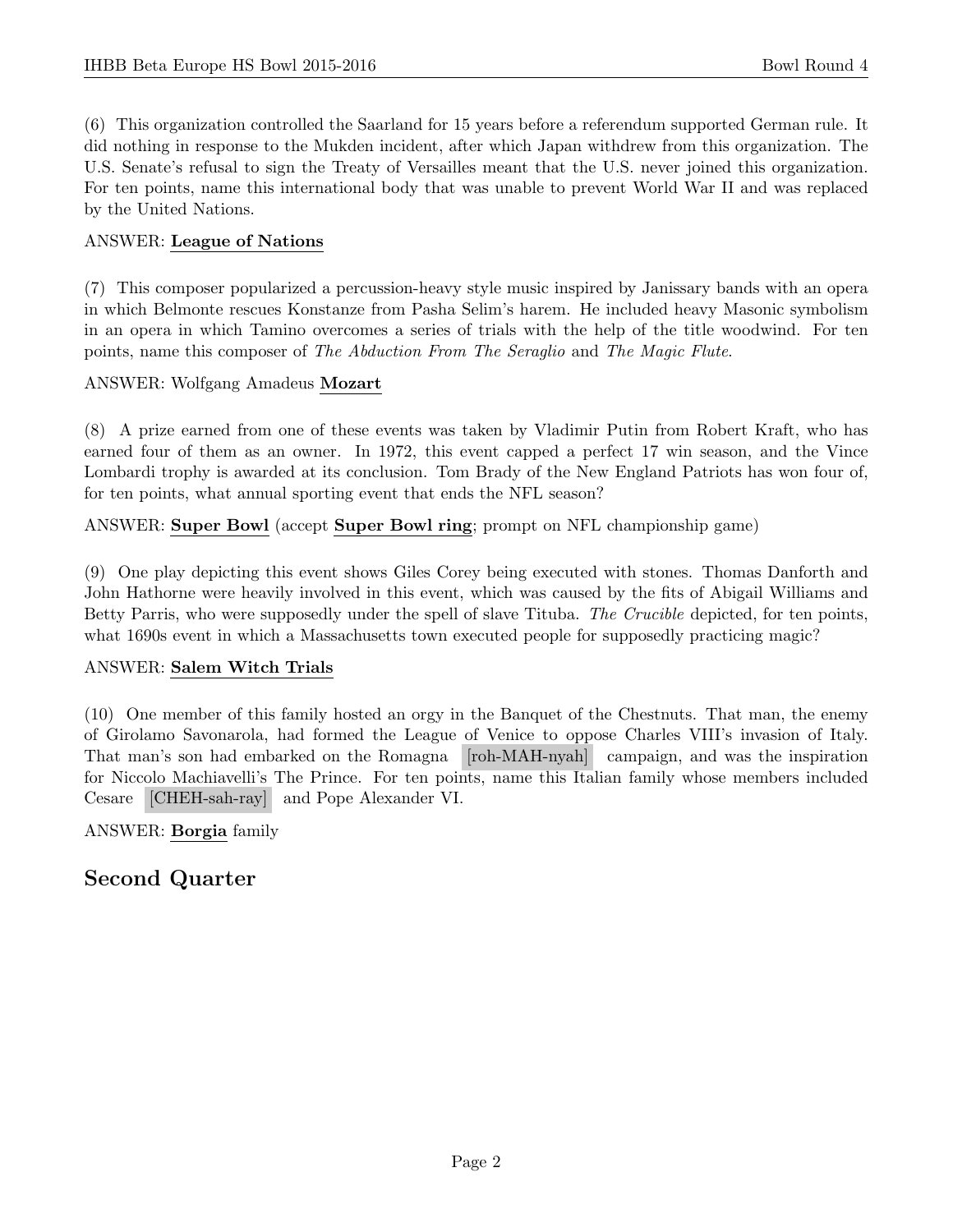(6) This organization controlled the Saarland for 15 years before a referendum supported German rule. It did nothing in response to the Mukden incident, after which Japan withdrew from this organization. The U.S. Senate's refusal to sign the Treaty of Versailles meant that the U.S. never joined this organization. For ten points, name this international body that was unable to prevent World War II and was replaced by the United Nations.

# ANSWER: League of Nations

(7) This composer popularized a percussion-heavy style music inspired by Janissary bands with an opera in which Belmonte rescues Konstanze from Pasha Selim's harem. He included heavy Masonic symbolism in an opera in which Tamino overcomes a series of trials with the help of the title woodwind. For ten points, name this composer of The Abduction From The Seraglio and The Magic Flute.

#### ANSWER: Wolfgang Amadeus Mozart

(8) A prize earned from one of these events was taken by Vladimir Putin from Robert Kraft, who has earned four of them as an owner. In 1972, this event capped a perfect 17 win season, and the Vince Lombardi trophy is awarded at its conclusion. Tom Brady of the New England Patriots has won four of, for ten points, what annual sporting event that ends the NFL season?

ANSWER: Super Bowl (accept Super Bowl ring; prompt on NFL championship game)

(9) One play depicting this event shows Giles Corey being executed with stones. Thomas Danforth and John Hathorne were heavily involved in this event, which was caused by the fits of Abigail Williams and Betty Parris, who were supposedly under the spell of slave Tituba. The Crucible depicted, for ten points, what 1690s event in which a Massachusetts town executed people for supposedly practicing magic?

#### ANSWER: Salem Witch Trials

(10) One member of this family hosted an orgy in the Banquet of the Chestnuts. That man, the enemy of Girolamo Savonarola, had formed the League of Venice to oppose Charles VIII's invasion of Italy. That man's son had embarked on the Romagna [roh-MAH-nyah] campaign, and was the inspiration for Niccolo Machiavelli's The Prince. For ten points, name this Italian family whose members included Cesare [CHEH-sah-ray] and Pope Alexander VI.

ANSWER: Borgia family

# Second Quarter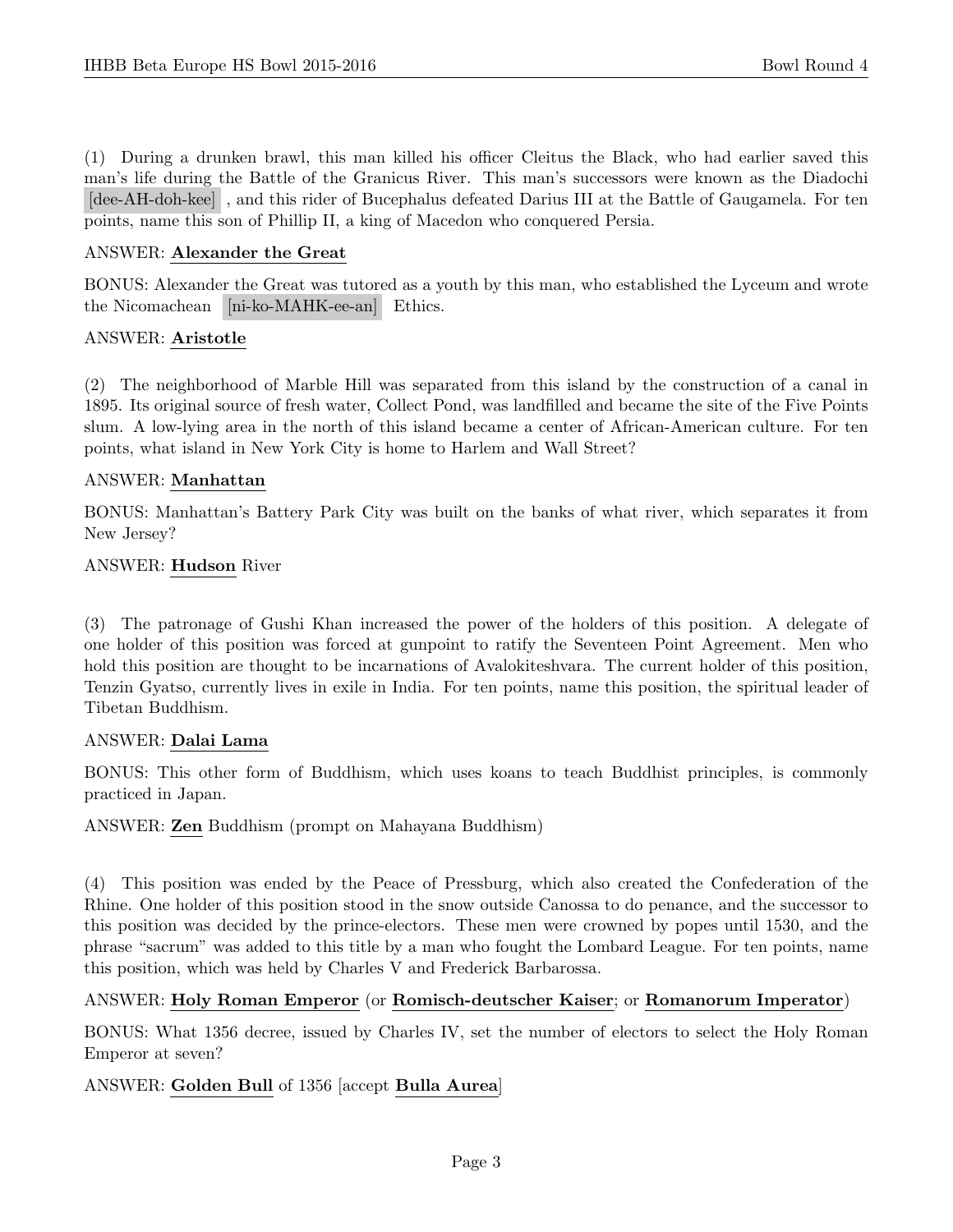(1) During a drunken brawl, this man killed his officer Cleitus the Black, who had earlier saved this man's life during the Battle of the Granicus River. This man's successors were known as the Diadochi [dee-AH-doh-kee] , and this rider of Bucephalus defeated Darius III at the Battle of Gaugamela. For ten points, name this son of Phillip II, a king of Macedon who conquered Persia.

#### ANSWER: Alexander the Great

BONUS: Alexander the Great was tutored as a youth by this man, who established the Lyceum and wrote the Nicomachean [ni-ko-MAHK-ee-an] Ethics.

#### ANSWER: Aristotle

(2) The neighborhood of Marble Hill was separated from this island by the construction of a canal in 1895. Its original source of fresh water, Collect Pond, was landfilled and became the site of the Five Points slum. A low-lying area in the north of this island became a center of African-American culture. For ten points, what island in New York City is home to Harlem and Wall Street?

#### ANSWER: Manhattan

BONUS: Manhattan's Battery Park City was built on the banks of what river, which separates it from New Jersey?

#### ANSWER: Hudson River

(3) The patronage of Gushi Khan increased the power of the holders of this position. A delegate of one holder of this position was forced at gunpoint to ratify the Seventeen Point Agreement. Men who hold this position are thought to be incarnations of Avalokiteshvara. The current holder of this position, Tenzin Gyatso, currently lives in exile in India. For ten points, name this position, the spiritual leader of Tibetan Buddhism.

#### ANSWER: Dalai Lama

BONUS: This other form of Buddhism, which uses koans to teach Buddhist principles, is commonly practiced in Japan.

ANSWER: Zen Buddhism (prompt on Mahayana Buddhism)

(4) This position was ended by the Peace of Pressburg, which also created the Confederation of the Rhine. One holder of this position stood in the snow outside Canossa to do penance, and the successor to this position was decided by the prince-electors. These men were crowned by popes until 1530, and the phrase "sacrum" was added to this title by a man who fought the Lombard League. For ten points, name this position, which was held by Charles V and Frederick Barbarossa.

#### ANSWER: Holy Roman Emperor (or Romisch-deutscher Kaiser; or Romanorum Imperator)

BONUS: What 1356 decree, issued by Charles IV, set the number of electors to select the Holy Roman Emperor at seven?

#### ANSWER: Golden Bull of 1356 [accept Bulla Aurea]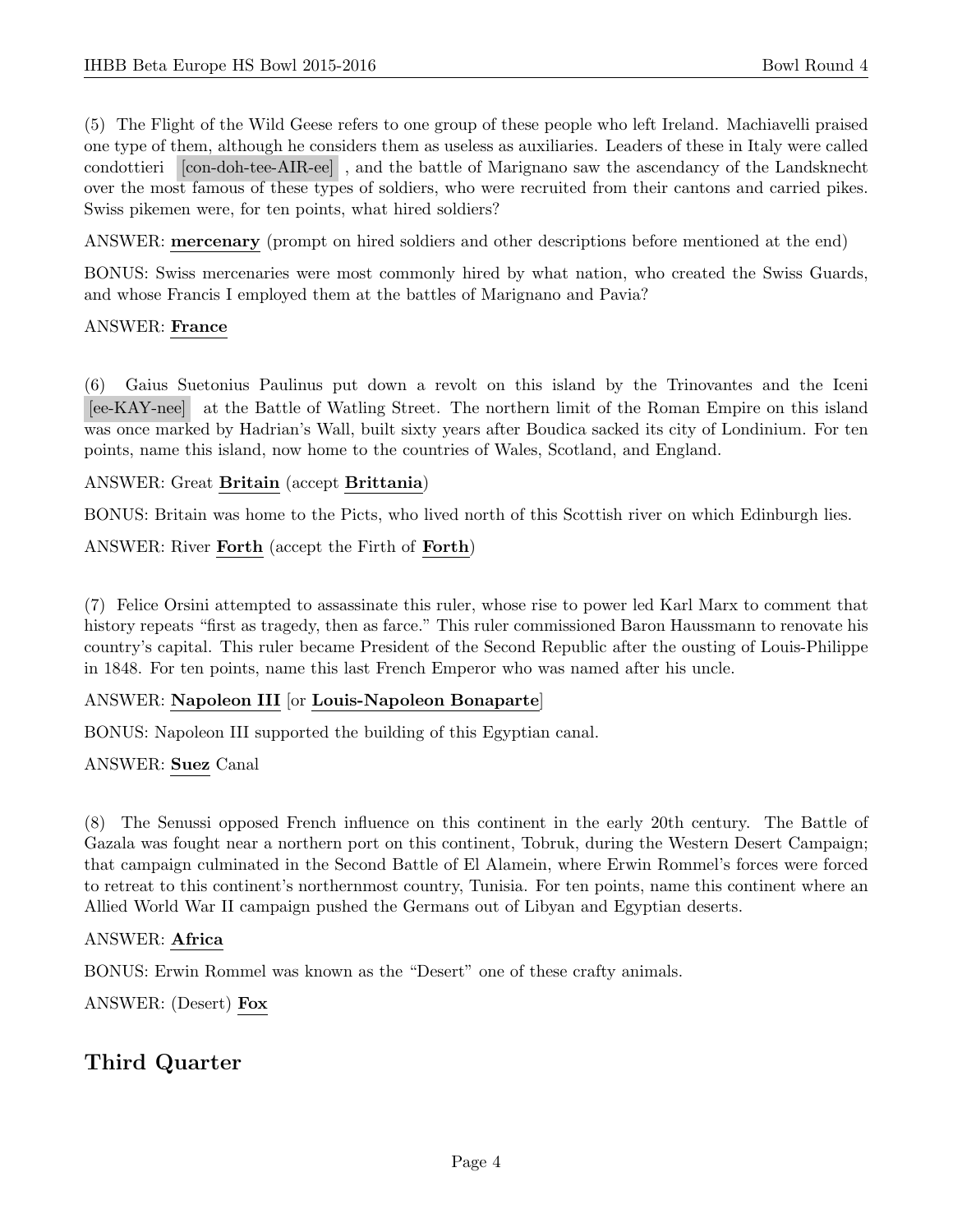(5) The Flight of the Wild Geese refers to one group of these people who left Ireland. Machiavelli praised one type of them, although he considers them as useless as auxiliaries. Leaders of these in Italy were called condottieri [con-doh-tee-AIR-ee] , and the battle of Marignano saw the ascendancy of the Landsknecht over the most famous of these types of soldiers, who were recruited from their cantons and carried pikes. Swiss pikemen were, for ten points, what hired soldiers?

ANSWER: mercenary (prompt on hired soldiers and other descriptions before mentioned at the end)

BONUS: Swiss mercenaries were most commonly hired by what nation, who created the Swiss Guards, and whose Francis I employed them at the battles of Marignano and Pavia?

#### ANSWER: France

(6) Gaius Suetonius Paulinus put down a revolt on this island by the Trinovantes and the Iceni [ee-KAY-nee] at the Battle of Watling Street. The northern limit of the Roman Empire on this island was once marked by Hadrian's Wall, built sixty years after Boudica sacked its city of Londinium. For ten points, name this island, now home to the countries of Wales, Scotland, and England.

#### ANSWER: Great Britain (accept Brittania)

BONUS: Britain was home to the Picts, who lived north of this Scottish river on which Edinburgh lies.

ANSWER: River Forth (accept the Firth of Forth)

(7) Felice Orsini attempted to assassinate this ruler, whose rise to power led Karl Marx to comment that history repeats "first as tragedy, then as farce." This ruler commissioned Baron Haussmann to renovate his country's capital. This ruler became President of the Second Republic after the ousting of Louis-Philippe in 1848. For ten points, name this last French Emperor who was named after his uncle.

#### ANSWER: Napoleon III [or Louis-Napoleon Bonaparte]

BONUS: Napoleon III supported the building of this Egyptian canal.

#### ANSWER: Suez Canal

(8) The Senussi opposed French influence on this continent in the early 20th century. The Battle of Gazala was fought near a northern port on this continent, Tobruk, during the Western Desert Campaign; that campaign culminated in the Second Battle of El Alamein, where Erwin Rommel's forces were forced to retreat to this continent's northernmost country, Tunisia. For ten points, name this continent where an Allied World War II campaign pushed the Germans out of Libyan and Egyptian deserts.

#### ANSWER: Africa

BONUS: Erwin Rommel was known as the "Desert" one of these crafty animals.

ANSWER: (Desert) Fox

# Third Quarter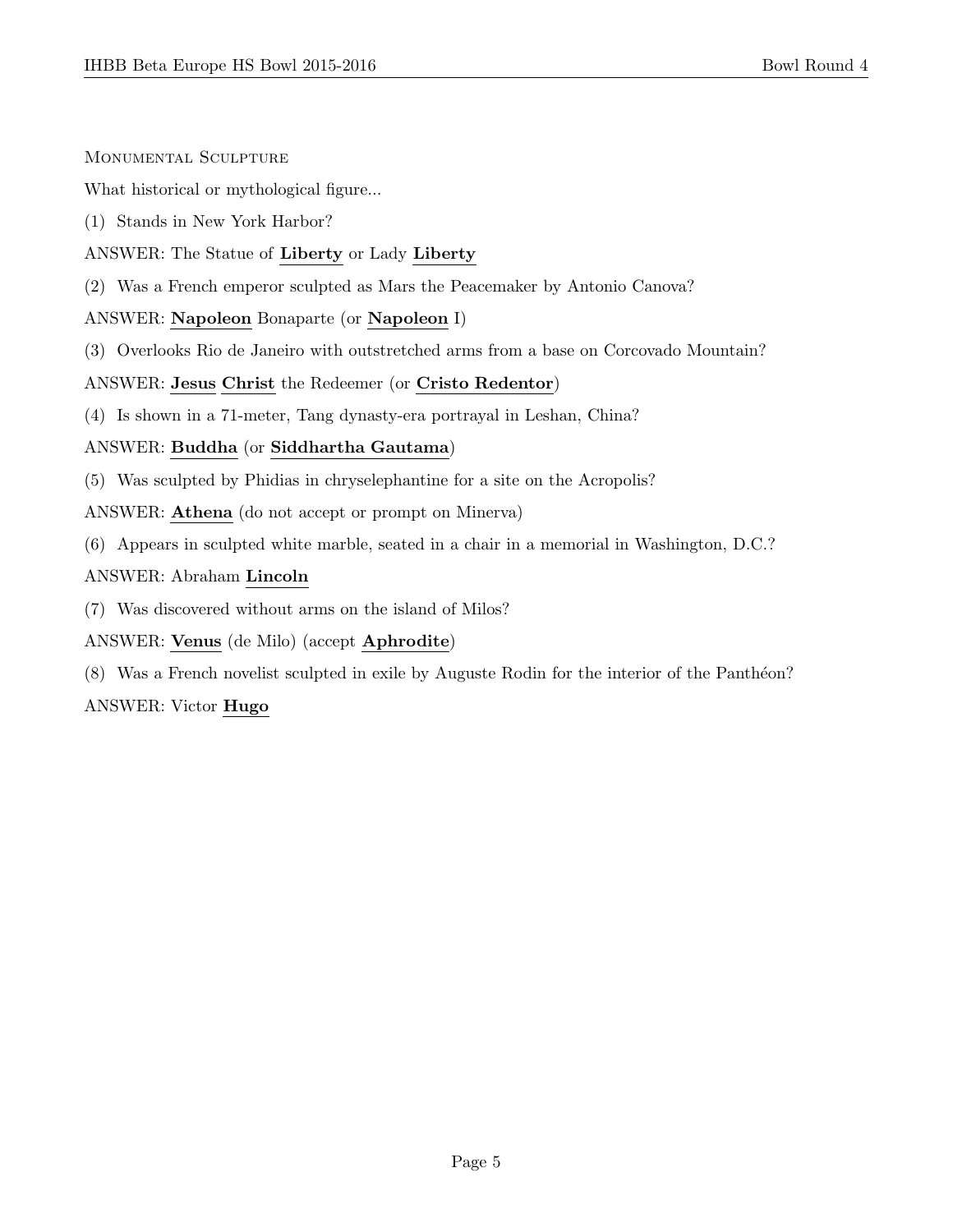#### Monumental Sculpture

What historical or mythological figure...

- (1) Stands in New York Harbor?
- ANSWER: The Statue of Liberty or Lady Liberty
- (2) Was a French emperor sculpted as Mars the Peacemaker by Antonio Canova?

# ANSWER: Napoleon Bonaparte (or Napoleon I)

(3) Overlooks Rio de Janeiro with outstretched arms from a base on Corcovado Mountain?

# ANSWER: Jesus Christ the Redeemer (or Cristo Redentor)

(4) Is shown in a 71-meter, Tang dynasty-era portrayal in Leshan, China?

# ANSWER: Buddha (or Siddhartha Gautama)

- (5) Was sculpted by Phidias in chryselephantine for a site on the Acropolis?
- ANSWER: Athena (do not accept or prompt on Minerva)
- (6) Appears in sculpted white marble, seated in a chair in a memorial in Washington, D.C.?

# ANSWER: Abraham Lincoln

- (7) Was discovered without arms on the island of Milos?
- ANSWER: Venus (de Milo) (accept Aphrodite)
- (8) Was a French novelist sculpted in exile by Auguste Rodin for the interior of the Panthéon?

# ANSWER: Victor Hugo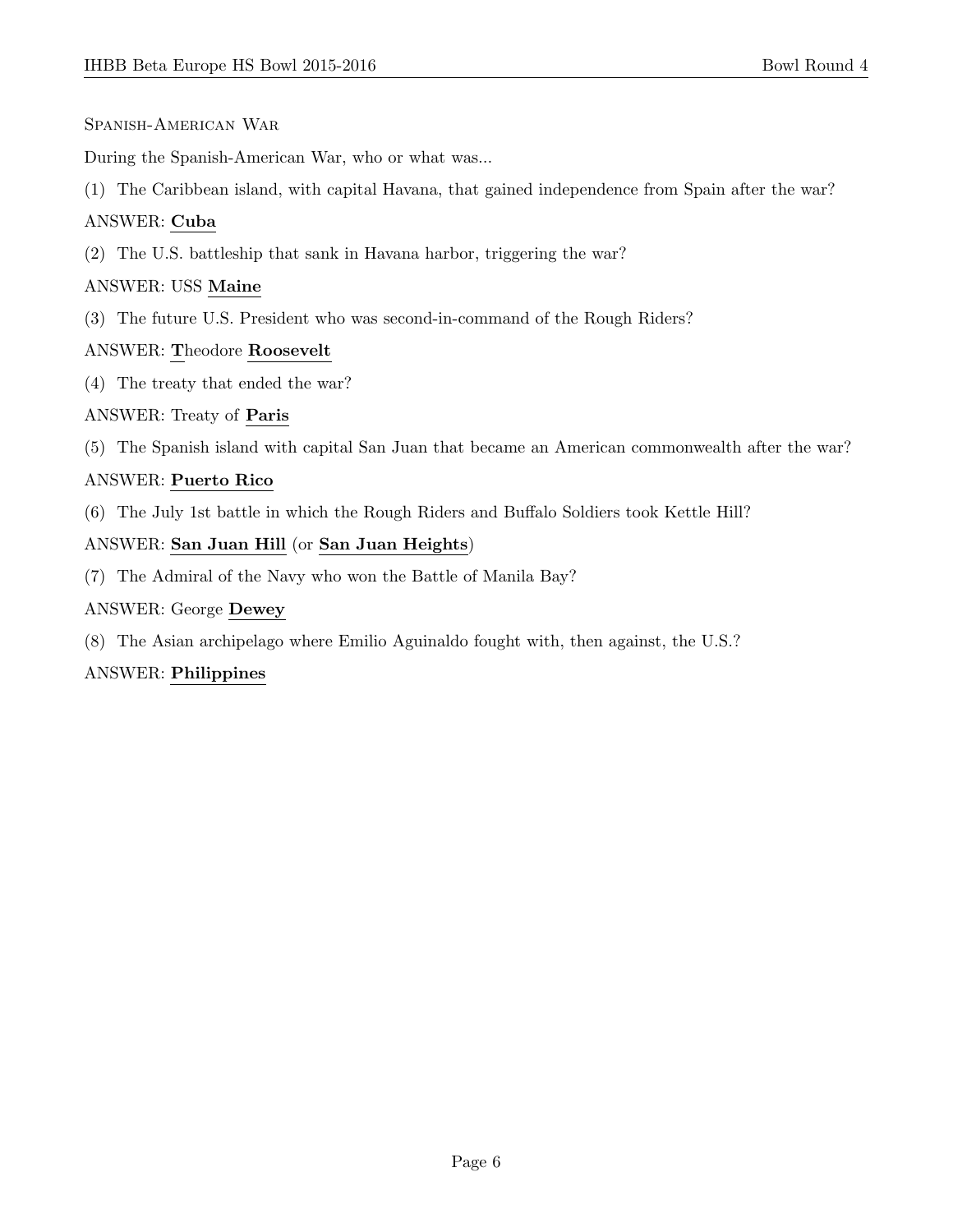#### Spanish-American War

During the Spanish-American War, who or what was...

(1) The Caribbean island, with capital Havana, that gained independence from Spain after the war?

# ANSWER: Cuba

(2) The U.S. battleship that sank in Havana harbor, triggering the war?

#### ANSWER: USS Maine

(3) The future U.S. President who was second-in-command of the Rough Riders?

# ANSWER: Theodore Roosevelt

(4) The treaty that ended the war?

# ANSWER: Treaty of Paris

(5) The Spanish island with capital San Juan that became an American commonwealth after the war?

# ANSWER: Puerto Rico

(6) The July 1st battle in which the Rough Riders and Buffalo Soldiers took Kettle Hill?

# ANSWER: San Juan Hill (or San Juan Heights)

(7) The Admiral of the Navy who won the Battle of Manila Bay?

#### ANSWER: George Dewey

(8) The Asian archipelago where Emilio Aguinaldo fought with, then against, the U.S.?

#### ANSWER: Philippines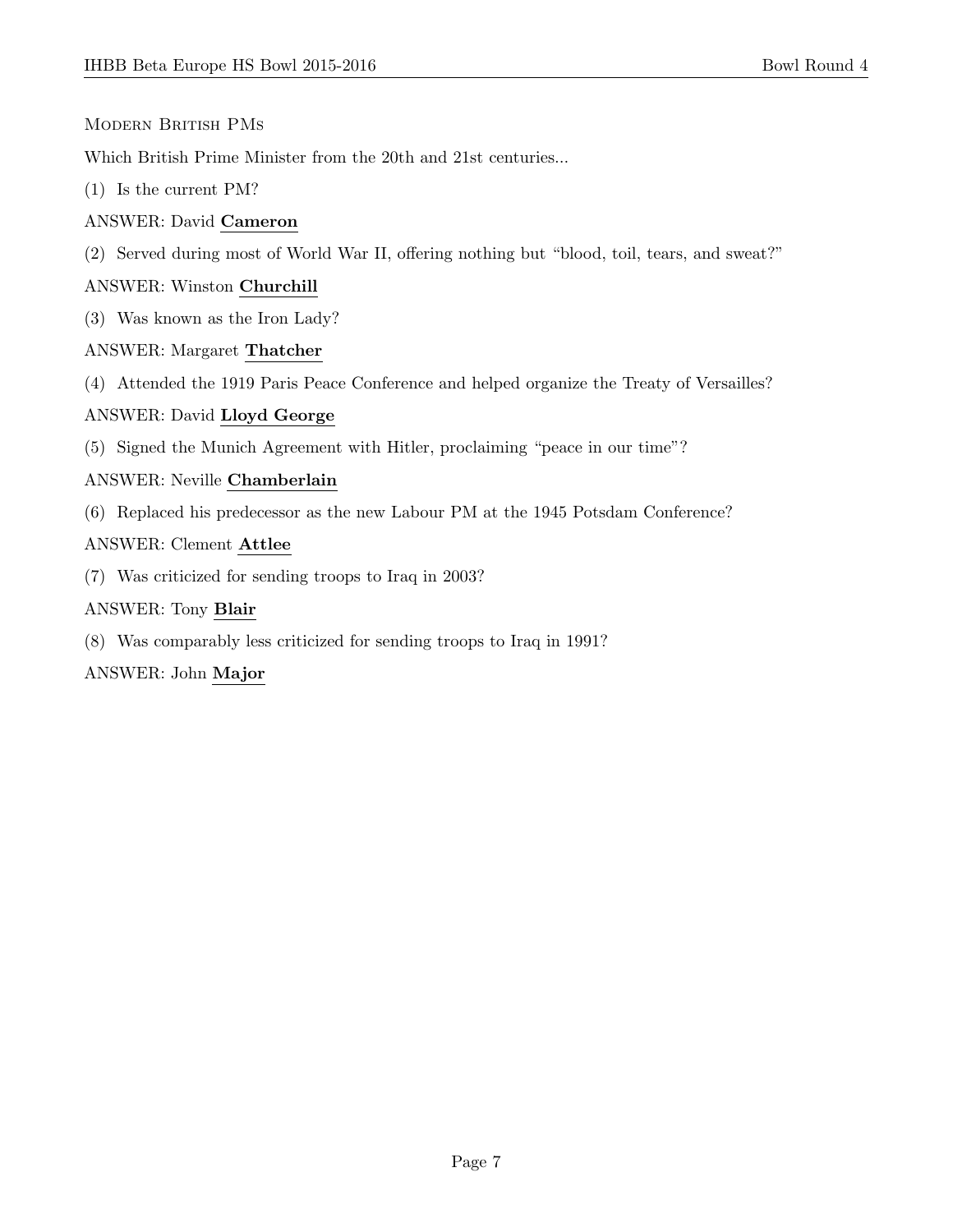#### Modern British PMs

Which British Prime Minister from the 20th and 21st centuries...

(1) Is the current PM?

#### ANSWER: David Cameron

(2) Served during most of World War II, offering nothing but "blood, toil, tears, and sweat?"

#### ANSWER: Winston Churchill

(3) Was known as the Iron Lady?

# ANSWER: Margaret Thatcher

(4) Attended the 1919 Paris Peace Conference and helped organize the Treaty of Versailles?

# ANSWER: David Lloyd George

(5) Signed the Munich Agreement with Hitler, proclaiming "peace in our time"?

# ANSWER: Neville Chamberlain

(6) Replaced his predecessor as the new Labour PM at the 1945 Potsdam Conference?

# ANSWER: Clement Attlee

(7) Was criticized for sending troops to Iraq in 2003?

#### ANSWER: Tony Blair

(8) Was comparably less criticized for sending troops to Iraq in 1991?

#### ANSWER: John Major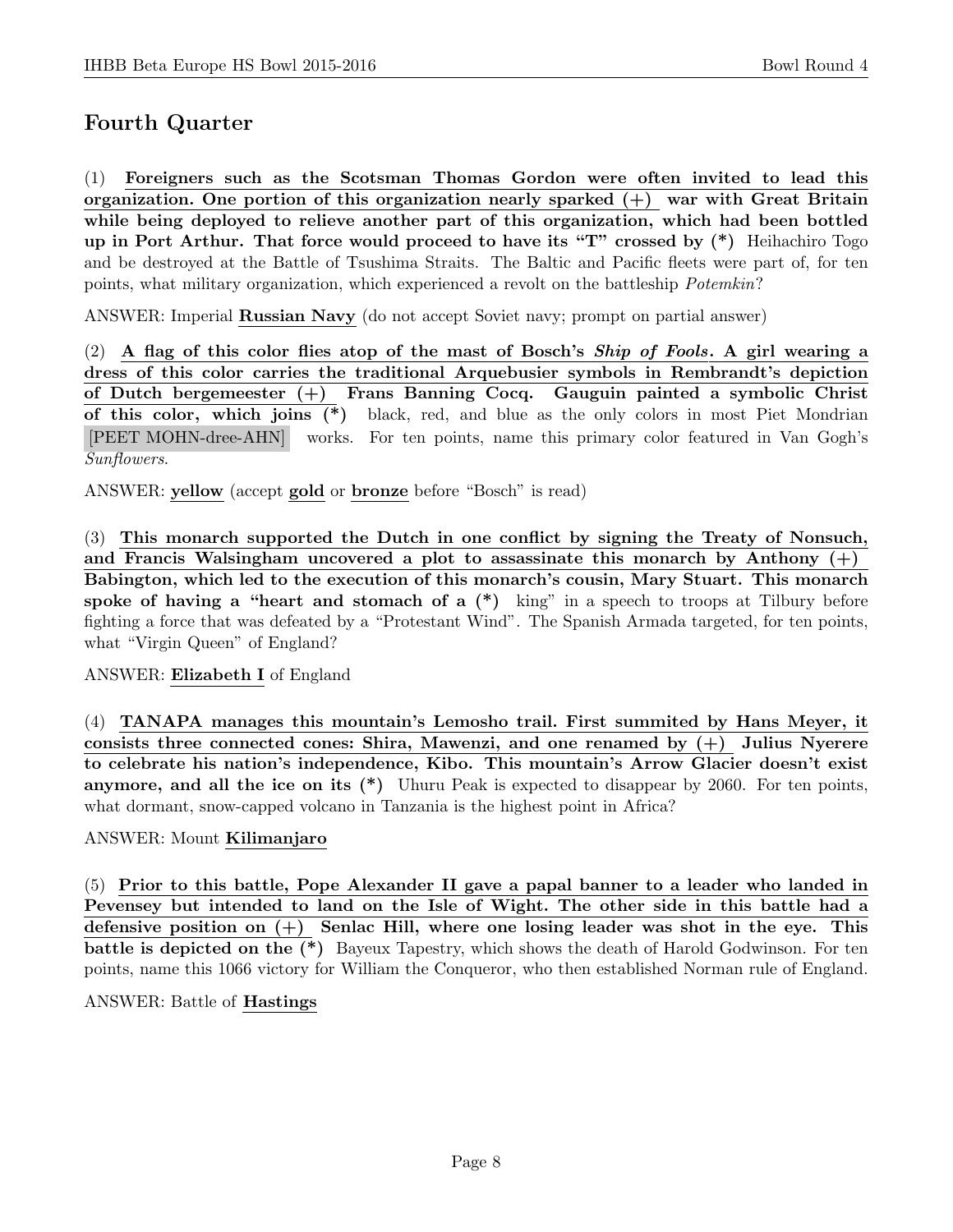# Fourth Quarter

(1) Foreigners such as the Scotsman Thomas Gordon were often invited to lead this organization. One portion of this organization nearly sparked  $(+)$  war with Great Britain while being deployed to relieve another part of this organization, which had been bottled up in Port Arthur. That force would proceed to have its "T" crossed by (\*) Heihachiro Togo and be destroyed at the Battle of Tsushima Straits. The Baltic and Pacific fleets were part of, for ten points, what military organization, which experienced a revolt on the battleship Potemkin?

ANSWER: Imperial Russian Navy (do not accept Soviet navy; prompt on partial answer)

(2) A flag of this color flies atop of the mast of Bosch's *Ship of Fools*. A girl wearing a dress of this color carries the traditional Arquebusier symbols in Rembrandt's depiction of Dutch bergemeester (+) Frans Banning Cocq. Gauguin painted a symbolic Christ of this color, which joins (\*) black, red, and blue as the only colors in most Piet Mondrian [PEET MOHN-dree-AHN] works. For ten points, name this primary color featured in Van Gogh's Sunflowers.

ANSWER: yellow (accept gold or bronze before "Bosch" is read)

(3) This monarch supported the Dutch in one conflict by signing the Treaty of Nonsuch, and Francis Walsingham uncovered a plot to assassinate this monarch by Anthony  $(+)$ Babington, which led to the execution of this monarch's cousin, Mary Stuart. This monarch spoke of having a "heart and stomach of a  $(*)$  king" in a speech to troops at Tilbury before fighting a force that was defeated by a "Protestant Wind". The Spanish Armada targeted, for ten points, what "Virgin Queen" of England?

#### ANSWER: Elizabeth I of England

(4) TANAPA manages this mountain's Lemosho trail. First summited by Hans Meyer, it consists three connected cones: Shira, Mawenzi, and one renamed by  $(+)$  Julius Nyerere to celebrate his nation's independence, Kibo. This mountain's Arrow Glacier doesn't exist anymore, and all the ice on its (\*) Uhuru Peak is expected to disappear by 2060. For ten points, what dormant, snow-capped volcano in Tanzania is the highest point in Africa?

#### ANSWER: Mount Kilimanjaro

(5) Prior to this battle, Pope Alexander II gave a papal banner to a leader who landed in Pevensey but intended to land on the Isle of Wight. The other side in this battle had a defensive position on  $(+)$  Senlac Hill, where one losing leader was shot in the eye. This battle is depicted on the (\*) Bayeux Tapestry, which shows the death of Harold Godwinson. For ten points, name this 1066 victory for William the Conqueror, who then established Norman rule of England.

#### ANSWER: Battle of Hastings